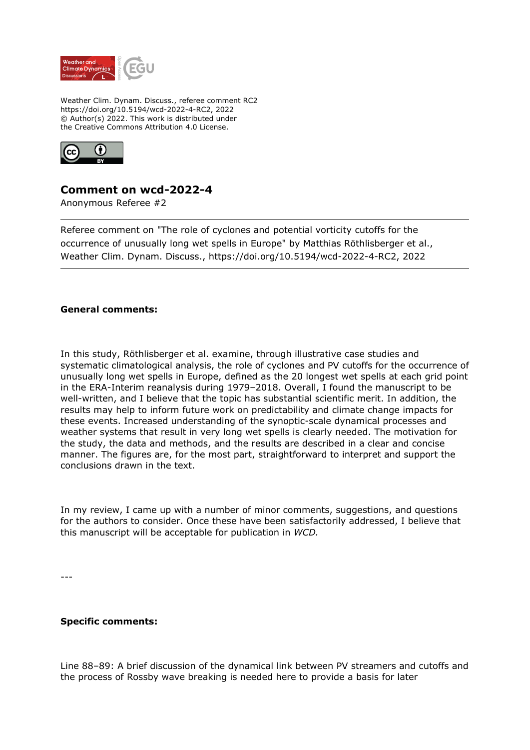

Weather Clim. Dynam. Discuss., referee comment RC2 https://doi.org/10.5194/wcd-2022-4-RC2, 2022 © Author(s) 2022. This work is distributed under the Creative Commons Attribution 4.0 License.



## **Comment on wcd-2022-4**

Anonymous Referee #2

Referee comment on "The role of cyclones and potential vorticity cutoffs for the occurrence of unusually long wet spells in Europe" by Matthias Röthlisberger et al., Weather Clim. Dynam. Discuss., https://doi.org/10.5194/wcd-2022-4-RC2, 2022

## **General comments:**

In this study, Röthlisberger et al. examine, through illustrative case studies and systematic climatological analysis, the role of cyclones and PV cutoffs for the occurrence of unusually long wet spells in Europe, defined as the 20 longest wet spells at each grid point in the ERA-Interim reanalysis during 1979–2018. Overall, I found the manuscript to be well-written, and I believe that the topic has substantial scientific merit. In addition, the results may help to inform future work on predictability and climate change impacts for these events. Increased understanding of the synoptic-scale dynamical processes and weather systems that result in very long wet spells is clearly needed. The motivation for the study, the data and methods, and the results are described in a clear and concise manner. The figures are, for the most part, straightforward to interpret and support the conclusions drawn in the text.

In my review, I came up with a number of minor comments, suggestions, and questions for the authors to consider. Once these have been satisfactorily addressed, I believe that this manuscript will be acceptable for publication in *WCD.*

---

## **Specific comments:**

Line 88–89: A brief discussion of the dynamical link between PV streamers and cutoffs and the process of Rossby wave breaking is needed here to provide a basis for later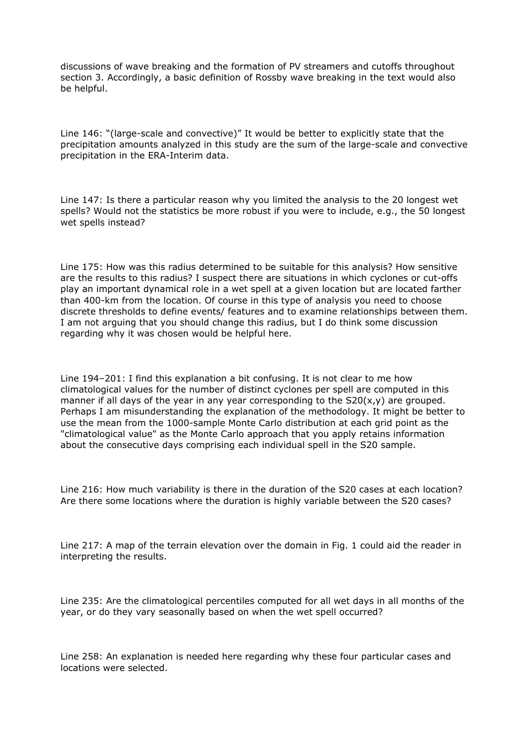discussions of wave breaking and the formation of PV streamers and cutoffs throughout section 3. Accordingly, a basic definition of Rossby wave breaking in the text would also be helpful.

Line 146: "(large-scale and convective)" It would be better to explicitly state that the precipitation amounts analyzed in this study are the sum of the large-scale and convective precipitation in the ERA-Interim data.

Line 147: Is there a particular reason why you limited the analysis to the 20 longest wet spells? Would not the statistics be more robust if you were to include, e.g., the 50 longest wet spells instead?

Line 175: How was this radius determined to be suitable for this analysis? How sensitive are the results to this radius? I suspect there are situations in which cyclones or cut-offs play an important dynamical role in a wet spell at a given location but are located farther than 400-km from the location. Of course in this type of analysis you need to choose discrete thresholds to define events/ features and to examine relationships between them. I am not arguing that you should change this radius, but I do think some discussion regarding why it was chosen would be helpful here.

Line 194–201: I find this explanation a bit confusing. It is not clear to me how climatological values for the number of distinct cyclones per spell are computed in this manner if all days of the year in any year corresponding to the  $S20(x,y)$  are grouped. Perhaps I am misunderstanding the explanation of the methodology. It might be better to use the mean from the 1000-sample Monte Carlo distribution at each grid point as the "climatological value" as the Monte Carlo approach that you apply retains information about the consecutive days comprising each individual spell in the S20 sample.

Line 216: How much variability is there in the duration of the S20 cases at each location? Are there some locations where the duration is highly variable between the S20 cases?

Line 217: A map of the terrain elevation over the domain in Fig. 1 could aid the reader in interpreting the results.

Line 235: Are the climatological percentiles computed for all wet days in all months of the year, or do they vary seasonally based on when the wet spell occurred?

Line 258: An explanation is needed here regarding why these four particular cases and locations were selected.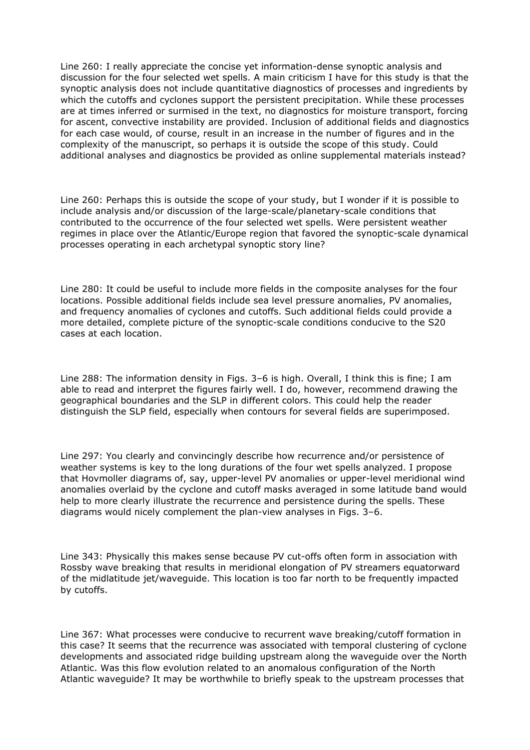Line 260: I really appreciate the concise yet information-dense synoptic analysis and discussion for the four selected wet spells. A main criticism I have for this study is that the synoptic analysis does not include quantitative diagnostics of processes and ingredients by which the cutoffs and cyclones support the persistent precipitation. While these processes are at times inferred or surmised in the text, no diagnostics for moisture transport, forcing for ascent, convective instability are provided. Inclusion of additional fields and diagnostics for each case would, of course, result in an increase in the number of figures and in the complexity of the manuscript, so perhaps it is outside the scope of this study. Could additional analyses and diagnostics be provided as online supplemental materials instead?

Line 260: Perhaps this is outside the scope of your study, but I wonder if it is possible to include analysis and/or discussion of the large-scale/planetary-scale conditions that contributed to the occurrence of the four selected wet spells. Were persistent weather regimes in place over the Atlantic/Europe region that favored the synoptic-scale dynamical processes operating in each archetypal synoptic story line?

Line 280: It could be useful to include more fields in the composite analyses for the four locations. Possible additional fields include sea level pressure anomalies, PV anomalies, and frequency anomalies of cyclones and cutoffs. Such additional fields could provide a more detailed, complete picture of the synoptic-scale conditions conducive to the S20 cases at each location.

Line 288: The information density in Figs. 3-6 is high. Overall, I think this is fine; I am able to read and interpret the figures fairly well. I do, however, recommend drawing the geographical boundaries and the SLP in different colors. This could help the reader distinguish the SLP field, especially when contours for several fields are superimposed.

Line 297: You clearly and convincingly describe how recurrence and/or persistence of weather systems is key to the long durations of the four wet spells analyzed. I propose that Hovmoller diagrams of, say, upper-level PV anomalies or upper-level meridional wind anomalies overlaid by the cyclone and cutoff masks averaged in some latitude band would help to more clearly illustrate the recurrence and persistence during the spells. These diagrams would nicely complement the plan-view analyses in Figs. 3–6.

Line 343: Physically this makes sense because PV cut-offs often form in association with Rossby wave breaking that results in meridional elongation of PV streamers equatorward of the midlatitude jet/waveguide. This location is too far north to be frequently impacted by cutoffs.

Line 367: What processes were conducive to recurrent wave breaking/cutoff formation in this case? It seems that the recurrence was associated with temporal clustering of cyclone developments and associated ridge building upstream along the waveguide over the North Atlantic. Was this flow evolution related to an anomalous configuration of the North Atlantic waveguide? It may be worthwhile to briefly speak to the upstream processes that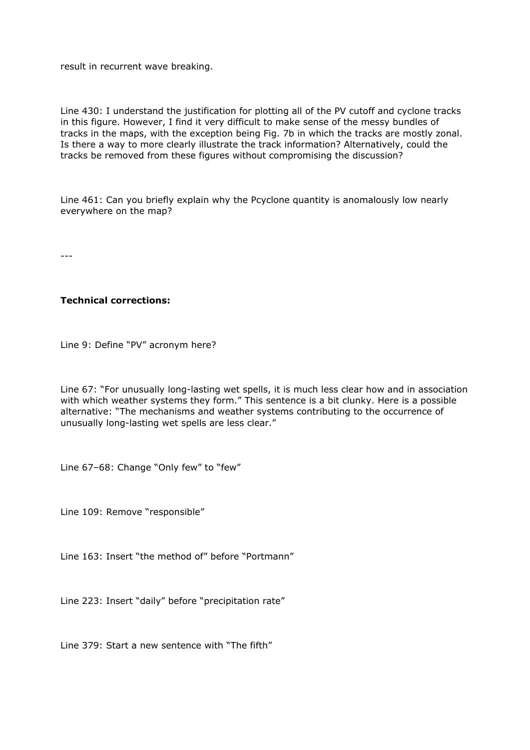result in recurrent wave breaking.

Line 430: I understand the justification for plotting all of the PV cutoff and cyclone tracks in this figure. However, I find it very difficult to make sense of the messy bundles of tracks in the maps, with the exception being Fig. 7b in which the tracks are mostly zonal. Is there a way to more clearly illustrate the track information? Alternatively, could the tracks be removed from these figures without compromising the discussion?

Line 461: Can you briefly explain why the Pcyclone quantity is anomalously low nearly everywhere on the map?

---

## **Technical corrections:**

Line 9: Define "PV" acronym here?

Line 67: "For unusually long-lasting wet spells, it is much less clear how and in association with which weather systems they form." This sentence is a bit clunky. Here is a possible alternative: "The mechanisms and weather systems contributing to the occurrence of unusually long-lasting wet spells are less clear."

Line 67–68: Change "Only few" to "few"

Line 109: Remove "responsible"

Line 163: Insert "the method of" before "Portmann"

Line 223: Insert "daily" before "precipitation rate"

Line 379: Start a new sentence with "The fifth"